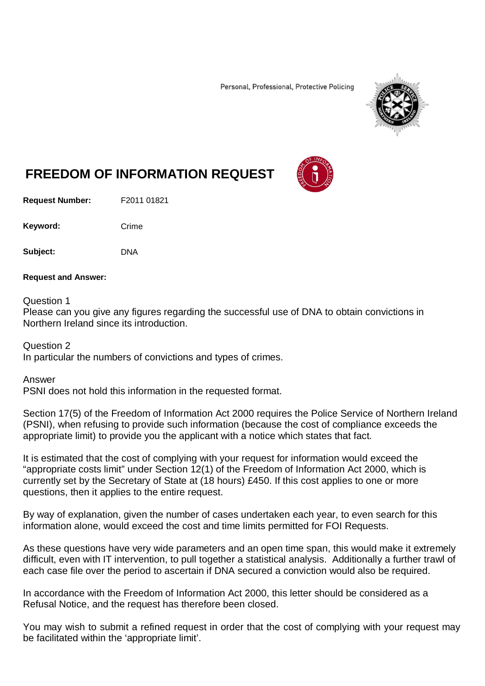Personal, Professional, Protective Policing



## **FREEDOM OF INFORMATION REQUEST**

**Request Number:** F2011 01821

Keyword: Crime

**Subject:** DNA

## **Request and Answer:**

Question 1

Please can you give any figures regarding the successful use of DNA to obtain convictions in Northern Ireland since its introduction.

Question 2 In particular the numbers of convictions and types of crimes.

Answer

PSNI does not hold this information in the requested format.

Section 17(5) of the Freedom of Information Act 2000 requires the Police Service of Northern Ireland (PSNI), when refusing to provide such information (because the cost of compliance exceeds the appropriate limit) to provide you the applicant with a notice which states that fact.

It is estimated that the cost of complying with your request for information would exceed the "appropriate costs limit" under Section 12(1) of the Freedom of Information Act 2000, which is currently set by the Secretary of State at (18 hours) £450. If this cost applies to one or more questions, then it applies to the entire request.

By way of explanation, given the number of cases undertaken each year, to even search for this information alone, would exceed the cost and time limits permitted for FOI Requests.

As these questions have very wide parameters and an open time span, this would make it extremely difficult, even with IT intervention, to pull together a statistical analysis. Additionally a further trawl of each case file over the period to ascertain if DNA secured a conviction would also be required.

In accordance with the Freedom of Information Act 2000, this letter should be considered as a Refusal Notice, and the request has therefore been closed.

You may wish to submit a refined request in order that the cost of complying with your request may be facilitated within the 'appropriate limit'.